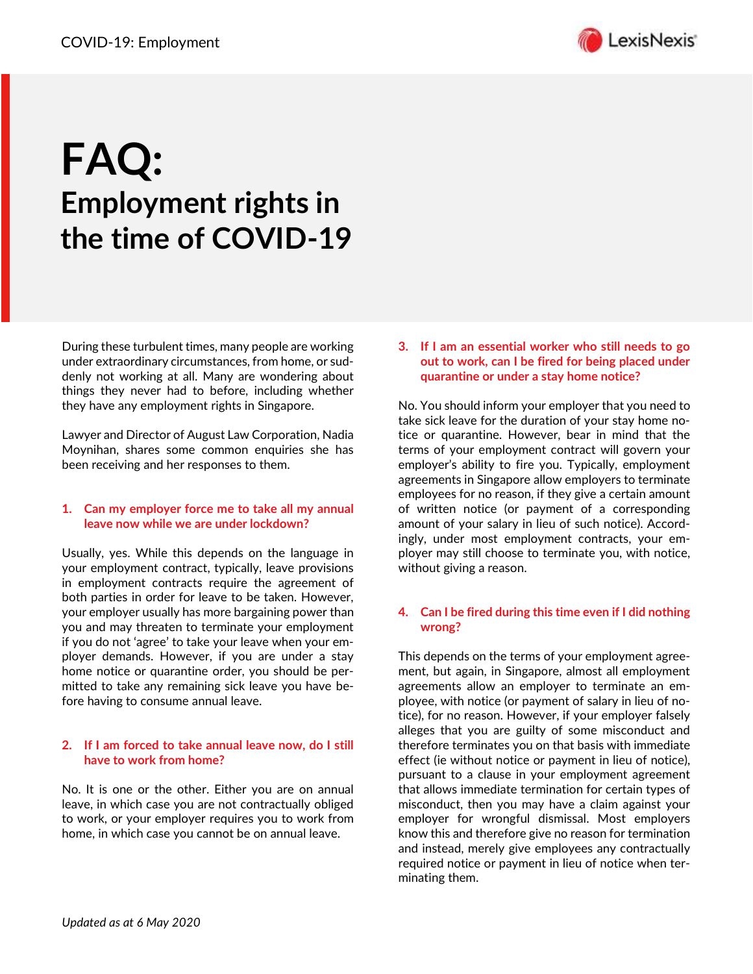

# **FAQ: Employment rights in the time of COVID-19**

During these turbulent times, many people are working under extraordinary circumstances, from home, or suddenly not working at all. Many are wondering about things they never had to before, including whether they have any employment rights in Singapore.

Lawyer and Director of August Law Corporation, Nadia Moynihan, shares some common enquiries she has been receiving and her responses to them.

### **1. Can my employer force me to take all my annual leave now while we are under lockdown?**

Usually, yes. While this depends on the language in your employment contract, typically, leave provisions in employment contracts require the agreement of both parties in order for leave to be taken. However, your employer usually has more bargaining power than you and may threaten to terminate your employment if you do not 'agree' to take your leave when your employer demands. However, if you are under a stay home notice or quarantine order, you should be permitted to take any remaining sick leave you have before having to consume annual leave.

#### **2. If I am forced to take annual leave now, do I still have to work from home?**

No. It is one or the other. Either you are on annual leave, in which case you are not contractually obliged to work, or your employer requires you to work from home, in which case you cannot be on annual leave.

#### **3. If I am an essential worker who still needs to go out to work, can I be fired for being placed under quarantine or under a stay home notice?**

No. You should inform your employer that you need to take sick leave for the duration of your stay home notice or quarantine. However, bear in mind that the terms of your employment contract will govern your employer's ability to fire you. Typically, employment agreements in Singapore allow employers to terminate employees for no reason, if they give a certain amount of written notice (or payment of a corresponding amount of your salary in lieu of such notice). Accordingly, under most employment contracts, your employer may still choose to terminate you, with notice, without giving a reason.

# **4. Can I be fired during this time even if I did nothing wrong?**

This depends on the terms of your employment agreement, but again, in Singapore, almost all employment agreements allow an employer to terminate an employee, with notice (or payment of salary in lieu of notice), for no reason. However, if your employer falsely alleges that you are guilty of some misconduct and therefore terminates you on that basis with immediate effect (ie without notice or payment in lieu of notice), pursuant to a clause in your employment agreement that allows immediate termination for certain types of misconduct, then you may have a claim against your employer for wrongful dismissal. Most employers know this and therefore give no reason for termination and instead, merely give employees any contractually required notice or payment in lieu of notice when terminating them.